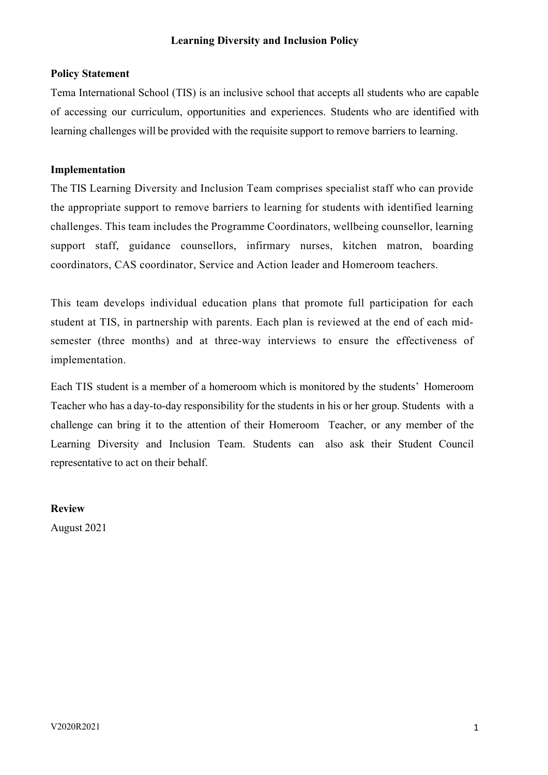### **Learning Diversity and Inclusion Policy**

#### **Policy Statement**

Tema International School (TIS) is an inclusive school that accepts all students who are capable of accessing our curriculum, opportunities and experiences. Students who are identified with learning challenges will be provided with the requisite support to remove barriers to learning.

#### **Implementation**

The TIS Learning Diversity and Inclusion Team comprises specialist staff who can provide the appropriate support to remove barriers to learning for students with identified learning challenges. This team includes the Programme Coordinators, wellbeing counsellor, learning support staff, guidance counsellors, infirmary nurses, kitchen matron, boarding coordinators, CAS coordinator, Service and Action leader and Homeroom teachers.

This team develops individual education plans that promote full participation for each student at TIS, in partnership with parents. Each plan is reviewed at the end of each midsemester (three months) and at three-way interviews to ensure the effectiveness of implementation.

Each TIS student is a member of a homeroom which is monitored by the students' Homeroom Teacher who has a day-to-day responsibility for the students in his or her group. Students with a challenge can bring it to the attention of their Homeroom Teacher, or any member of the Learning Diversity and Inclusion Team. Students can also ask their Student Council representative to act on their behalf.

**Review**

August 2021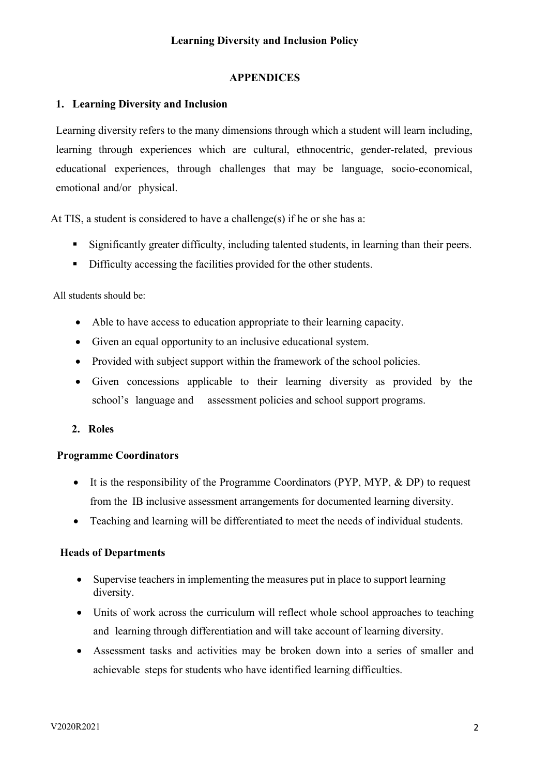# **APPENDICES**

# **1. Learning Diversity and Inclusion**

Learning diversity refers to the many dimensions through which a student will learn including, learning through experiences which are cultural, ethnocentric, gender-related, previous educational experiences, through challenges that may be language, socio-economical, emotional and/or physical.

At TIS, a student is considered to have a challenge(s) if he or she has a:

- § Significantly greater difficulty, including talented students, in learning than their peers.
- Difficulty accessing the facilities provided for the other students.

# All students should be:

- Able to have access to education appropriate to their learning capacity.
- Given an equal opportunity to an inclusive educational system.
- Provided with subject support within the framework of the school policies.
- Given concessions applicable to their learning diversity as provided by the school's language and assessment policies and school support programs.
- **2. Roles**

# **Programme Coordinators**

- It is the responsibility of the Programme Coordinators (PYP, MYP, & DP) to request from the IB inclusive assessment arrangements for documented learning diversity.
- Teaching and learning will be differentiated to meet the needs of individual students.

# **Heads of Departments**

- Supervise teachers in implementing the measures put in place to support learning diversity.
- Units of work across the curriculum will reflect whole school approaches to teaching and learning through differentiation and will take account of learning diversity.
- Assessment tasks and activities may be broken down into a series of smaller and achievable steps for students who have identified learning difficulties.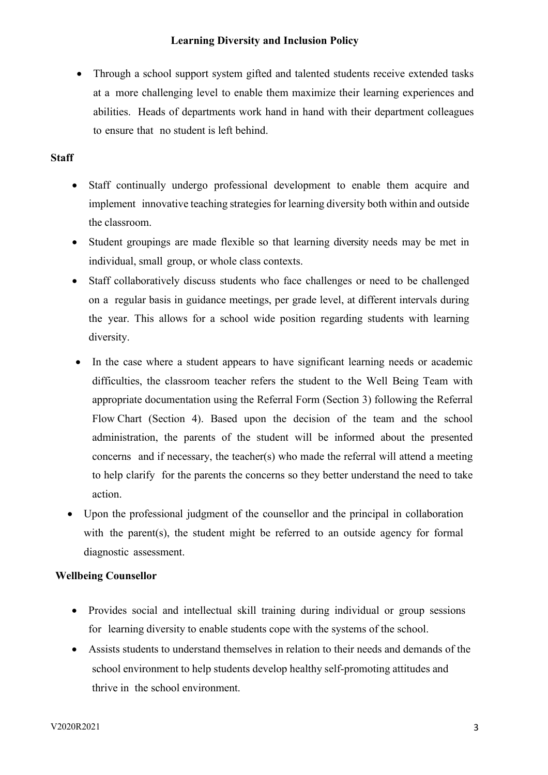### **Learning Diversity and Inclusion Policy**

• Through a school support system gifted and talented students receive extended tasks at a more challenging level to enable them maximize their learning experiences and abilities. Heads of departments work hand in hand with their department colleagues to ensure that no student is left behind.

### **Staff**

- Staff continually undergo professional development to enable them acquire and implement innovative teaching strategiesfor learning diversity both within and outside the classroom.
- Student groupings are made flexible so that learning diversity needs may be met in individual, small group, or whole class contexts.
- Staff collaboratively discuss students who face challenges or need to be challenged on a regular basis in guidance meetings, per grade level, at different intervals during the year. This allows for a school wide position regarding students with learning diversity.
- In the case where a student appears to have significant learning needs or academic difficulties, the classroom teacher refers the student to the Well Being Team with appropriate documentation using the Referral Form (Section 3) following the Referral Flow Chart (Section 4). Based upon the decision of the team and the school administration, the parents of the student will be informed about the presented concerns and if necessary, the teacher(s) who made the referral will attend a meeting to help clarify for the parents the concerns so they better understand the need to take action.
- Upon the professional judgment of the counsellor and the principal in collaboration with the parent(s), the student might be referred to an outside agency for formal diagnostic assessment.

### **Wellbeing Counsellor**

- Provides social and intellectual skill training during individual or group sessions for learning diversity to enable students cope with the systems of the school.
- Assists students to understand themselves in relation to their needs and demands of the school environment to help students develop healthy self-promoting attitudes and thrive in the school environment.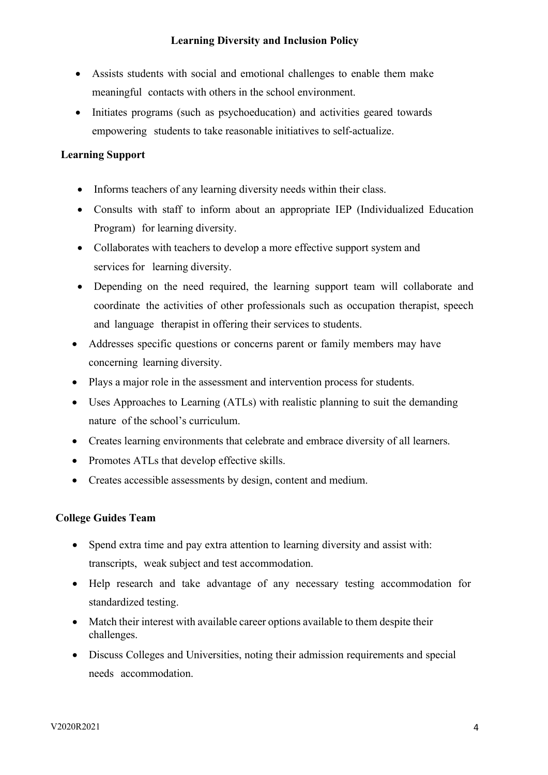# **Learning Diversity and Inclusion Policy**

- Assists students with social and emotional challenges to enable them make meaningful contacts with others in the school environment.
- Initiates programs (such as psychoeducation) and activities geared towards empowering students to take reasonable initiatives to self-actualize.

# **Learning Support**

- Informs teachers of any learning diversity needs within their class.
- Consults with staff to inform about an appropriate IEP (Individualized Education Program) for learning diversity.
- Collaborates with teachers to develop a more effective support system and services for learning diversity.
- Depending on the need required, the learning support team will collaborate and coordinate the activities of other professionals such as occupation therapist, speech and language therapist in offering their services to students.
- Addresses specific questions or concerns parent or family members may have concerning learning diversity.
- Plays a major role in the assessment and intervention process for students.
- Uses Approaches to Learning (ATLs) with realistic planning to suit the demanding nature of the school's curriculum.
- Creates learning environments that celebrate and embrace diversity of all learners.
- Promotes ATLs that develop effective skills.
- Creates accessible assessments by design, content and medium.

### **College Guides Team**

- Spend extra time and pay extra attention to learning diversity and assist with: transcripts, weak subject and test accommodation.
- Help research and take advantage of any necessary testing accommodation for standardized testing.
- Match their interest with available career options available to them despite their challenges.
- Discuss Colleges and Universities, noting their admission requirements and special needs accommodation.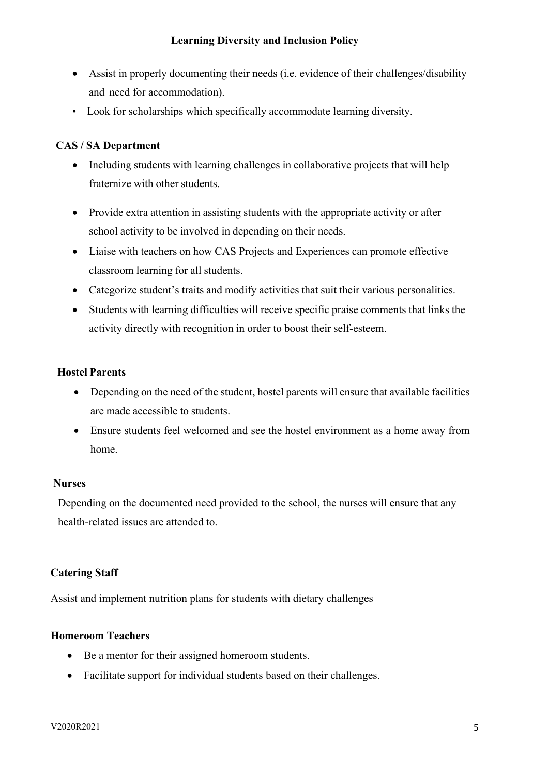- Assist in properly documenting their needs (i.e. evidence of their challenges/disability and need for accommodation).
- Look for scholarships which specifically accommodate learning diversity.

# **CAS / SA Department**

- Including students with learning challenges in collaborative projects that will help fraternize with other students.
- Provide extra attention in assisting students with the appropriate activity or after school activity to be involved in depending on their needs.
- Liaise with teachers on how CAS Projects and Experiences can promote effective classroom learning for all students.
- Categorize student's traits and modify activities that suit their various personalities.
- Students with learning difficulties will receive specific praise comments that links the activity directly with recognition in order to boost their self-esteem.

# **Hostel Parents**

- Depending on the need of the student, hostel parents will ensure that available facilities are made accessible to students.
- Ensure students feel welcomed and see the hostel environment as a home away from home.

# **Nurses**

Depending on the documented need provided to the school, the nurses will ensure that any health-related issues are attended to.

# **Catering Staff**

Assist and implement nutrition plans for students with dietary challenges

# **Homeroom Teachers**

- Be a mentor for their assigned homeroom students.
- Facilitate support for individual students based on their challenges.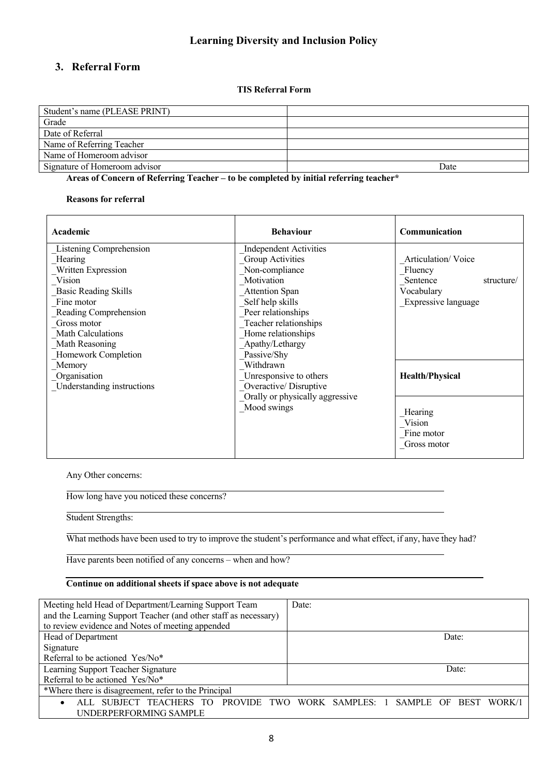# **3. Referral Form**

**TIS Referral Form**

| Student's name (PLEASE PRINT) |      |
|-------------------------------|------|
| Grade                         |      |
| Date of Referral              |      |
| Name of Referring Teacher     |      |
| Name of Homeroom advisor      |      |
| Signature of Homeroom advisor | Date |

**Areas of Concern of Referring Teacher – to be completed by initial referring teacher\***

#### **Reasons for referral**

| Academic                    | <b>Behaviour</b>                | Communication                                  |
|-----------------------------|---------------------------------|------------------------------------------------|
| Listening Comprehension     | <b>Independent Activities</b>   |                                                |
| Hearing                     | Group Activities                | Articulation/Voice                             |
| Written Expression          | Non-compliance                  | Fluency                                        |
| Vision                      | Motivation                      | Sentence<br>structure/                         |
| <b>Basic Reading Skills</b> | <b>Attention Span</b>           | Vocabulary                                     |
| Fine motor                  | Self help skills                | Expressive language                            |
| Reading Comprehension       | Peer relationships              |                                                |
| Gross motor                 | Teacher relationships           |                                                |
| Math Calculations           | Home relationships              |                                                |
| Math Reasoning              | Apathy/Lethargy                 |                                                |
| Homework Completion         | Passive/Shy                     |                                                |
| Memory                      | Withdrawn                       |                                                |
| Organisation                | Unresponsive to others          | <b>Health/Physical</b>                         |
| Understanding instructions  | Overactive/Disruptive           |                                                |
|                             | Orally or physically aggressive |                                                |
|                             | Mood swings                     | Hearing<br>Vision<br>Fine motor<br>Gross motor |

Any Other concerns:

How long have you noticed these concerns?

Student Strengths:

What methods have been used to try to improve the student's performance and what effect, if any, have they had?

Have parents been notified of any concerns – when and how?

#### **Continue on additional sheets if space above is not adequate**

| Meeting held Head of Department/Learning Support Team           | Date:                                                          |
|-----------------------------------------------------------------|----------------------------------------------------------------|
| and the Learning Support Teacher (and other staff as necessary) |                                                                |
| to review evidence and Notes of meeting appended                |                                                                |
| Head of Department                                              | Date:                                                          |
| Signature                                                       |                                                                |
| Referral to be actioned Yes/No*                                 |                                                                |
| Learning Support Teacher Signature                              | Date:                                                          |
| Referral to be actioned Yes/No*                                 |                                                                |
| *Where there is disagreement, refer to the Principal            |                                                                |
| ALL SUBJECT TEACHERS TO<br>$\bullet$                            | PROVIDE TWO WORK SAMPLES: 1 SAMPLE OF<br><b>BEST</b><br>WORK/1 |
| UNDERPERFORMING SAMPLE                                          |                                                                |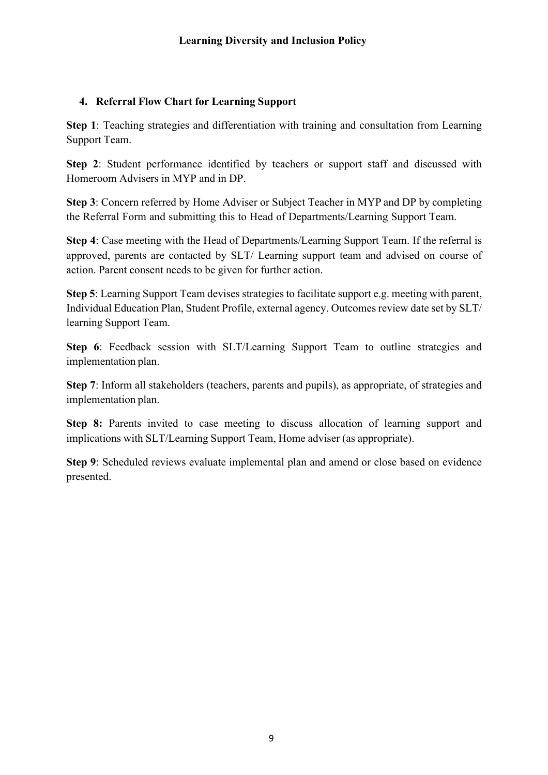# **4. Referral Flow Chart for Learning Support**

**Step 1**: Teaching strategies and differentiation with training and consultation from Learning Support Team.

**Step 2**: Student performance identified by teachers or support staff and discussed with Homeroom Advisers in MYP and in DP.

**Step 3**: Concern referred by Home Adviser or Subject Teacher in MYP and DP by completing the Referral Form and submitting this to Head of Departments/Learning Support Team.

**Step 4**: Case meeting with the Head of Departments/Learning Support Team. If the referral is approved, parents are contacted by SLT/ Learning support team and advised on course of action. Parent consent needs to be given for further action.

**Step 5**: Learning Support Team devises strategies to facilitate support e.g. meeting with parent, Individual Education Plan, Student Profile, external agency. Outcomes review date set by SLT/ learning Support Team.

**Step 6**: Feedback session with SLT/Learning Support Team to outline strategies and implementation plan.

**Step 7**: Inform all stakeholders (teachers, parents and pupils), as appropriate, of strategies and implementation plan.

**Step 8:** Parents invited to case meeting to discuss allocation of learning support and implications with SLT/Learning Support Team, Home adviser (as appropriate).

**Step 9**: Scheduled reviews evaluate implemental plan and amend or close based on evidence presented.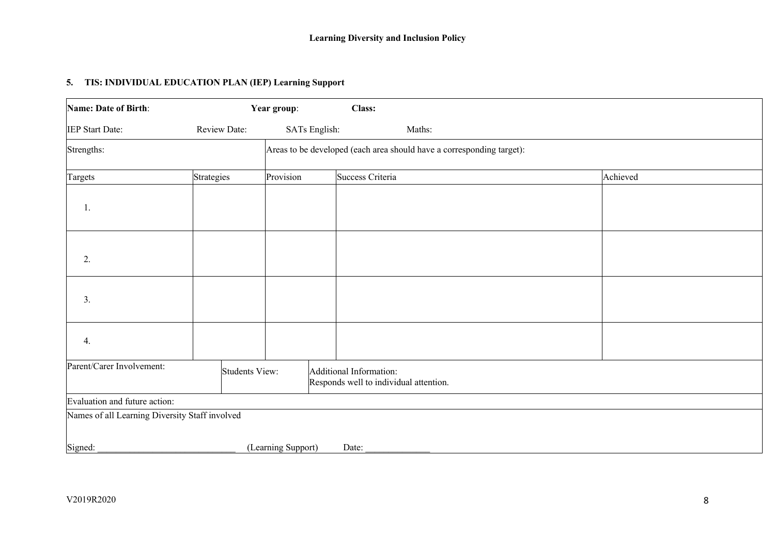### **5. TIS: INDIVIDUAL EDUCATION PLAN (IEP) Learning Support**

| Name: Date of Birth:                           |                | Year group:                                                           | Class:                                                            |        |          |
|------------------------------------------------|----------------|-----------------------------------------------------------------------|-------------------------------------------------------------------|--------|----------|
| IEP Start Date:                                | Review Date:   |                                                                       | SATs English:                                                     | Maths: |          |
| Strengths:                                     |                | Areas to be developed (each area should have a corresponding target): |                                                                   |        |          |
| Targets                                        | Strategies     | Provision                                                             | Success Criteria                                                  |        | Achieved |
| 1.                                             |                |                                                                       |                                                                   |        |          |
| 2.                                             |                |                                                                       |                                                                   |        |          |
| 3.                                             |                |                                                                       |                                                                   |        |          |
| 4.                                             |                |                                                                       |                                                                   |        |          |
| Parent/Carer Involvement:                      | Students View: |                                                                       | Additional Information:<br>Responds well to individual attention. |        |          |
| Evaluation and future action:                  |                |                                                                       |                                                                   |        |          |
| Names of all Learning Diversity Staff involved |                |                                                                       |                                                                   |        |          |
| Signed:                                        |                | (Learning Support)                                                    | Date:                                                             |        |          |